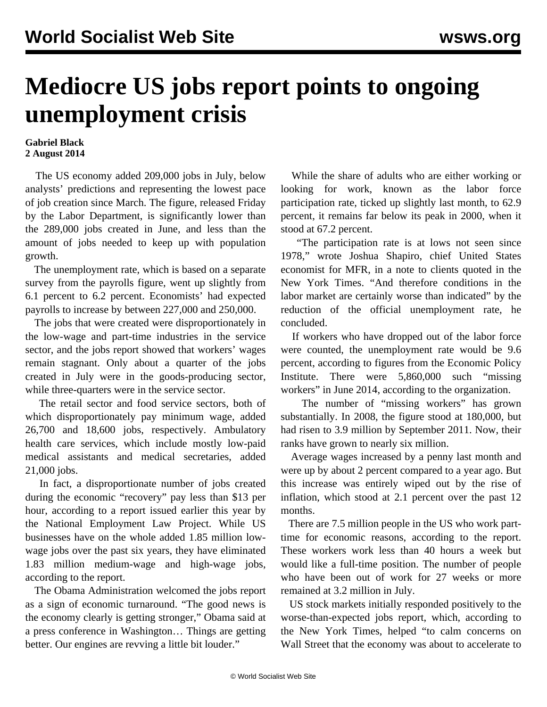## **Mediocre US jobs report points to ongoing unemployment crisis**

## **Gabriel Black 2 August 2014**

 The US economy added 209,000 jobs in July, below analysts' predictions and representing the lowest pace of job creation since March. The figure, released Friday by the Labor Department, is significantly lower than the 289,000 jobs created in June, and less than the amount of jobs needed to keep up with population growth.

 The unemployment rate, which is based on a separate survey from the payrolls figure, went up slightly from 6.1 percent to 6.2 percent. Economists' had expected payrolls to increase by between 227,000 and 250,000.

 The jobs that were created were disproportionately in the low-wage and part-time industries in the service sector, and the jobs report showed that workers' wages remain stagnant. Only about a quarter of the jobs created in July were in the goods-producing sector, while three-quarters were in the service sector.

 The retail sector and food service sectors, both of which disproportionately pay minimum wage, added 26,700 and 18,600 jobs, respectively. Ambulatory health care services, which include mostly low-paid medical assistants and medical secretaries, added 21,000 jobs.

 In fact, a disproportionate number of jobs created during the economic "recovery" pay less than \$13 per hour, according to a report issued earlier this year by the National Employment Law Project. While US businesses have on the whole added 1.85 million lowwage jobs over the past six years, they have eliminated 1.83 million medium-wage and high-wage jobs, according to the report.

 The Obama Administration welcomed the jobs report as a sign of economic turnaround. "The good news is the economy clearly is getting stronger," Obama said at a press conference in Washington… Things are getting better. Our engines are revving a little bit louder."

 While the share of adults who are either working or looking for work, known as the labor force participation rate, ticked up slightly last month, to 62.9 percent, it remains far below its peak in 2000, when it stood at 67.2 percent.

 "The participation rate is at lows not seen since 1978," wrote Joshua Shapiro, chief United States economist for MFR, in a note to clients quoted in the New York Times. "And therefore conditions in the labor market are certainly worse than indicated" by the reduction of the official unemployment rate, he concluded.

 If workers who have dropped out of the labor force were counted, the unemployment rate would be 9.6 percent, according to figures from the Economic Policy Institute. There were 5,860,000 such "missing workers" in June 2014, according to the organization.

 The number of "missing workers" has grown substantially. In 2008, the figure stood at 180,000, but had risen to 3.9 million by September 2011. Now, their ranks have grown to nearly six million.

 Average wages increased by a penny last month and were up by about 2 percent compared to a year ago. But this increase was entirely wiped out by the rise of inflation, which stood at 2.1 percent over the past 12 months.

 There are 7.5 million people in the US who work parttime for economic reasons, according to the report. These workers work less than 40 hours a week but would like a full-time position. The number of people who have been out of work for 27 weeks or more remained at 3.2 million in July.

 US stock markets initially responded positively to the worse-than-expected jobs report, which, according to the New York Times, helped "to calm concerns on Wall Street that the economy was about to accelerate to